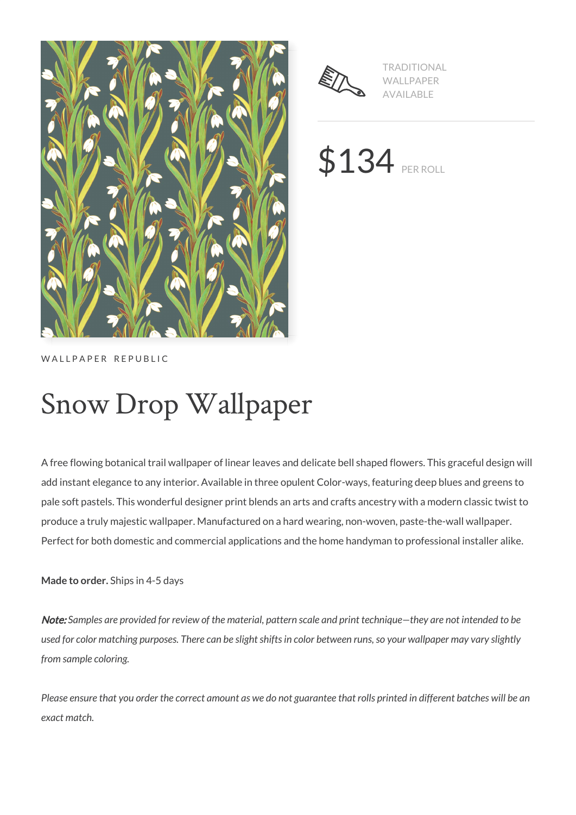



TRADITIONAL WALLPAPER AVAILABLE

\$134 PER ROLL

WALLPAPER REPUBLIC

# Snow Drop Wallpaper

A free flowing botanical trail wallpaper of linear leaves and delicate bell shaped flowers. This graceful design will add instant elegance to any interior. Available in three opulent Color-ways, featuring deep blues and greens to pale soft pastels. This wonderful designer print blends an arts and crafts ancestry with a modern classic twist to produce a truly majestic wallpaper. Manufactured on a hard wearing, non-woven, paste-the-wall wallpaper. Perfect for both domestic and commercial applications and the home handyman to professional installer alike.

**Made to order.** Ships in 4-5 days

Note: *Samples are provided for review of the material, pattern scale and print technique—they are not intended to be used for color matching purposes. There can be slight shifts in color between runs, so your wallpaper may vary slightly from sample coloring.*

*Please ensure that you order the correct amount as we do not guarantee that rolls printed in different batches will be an exact match.*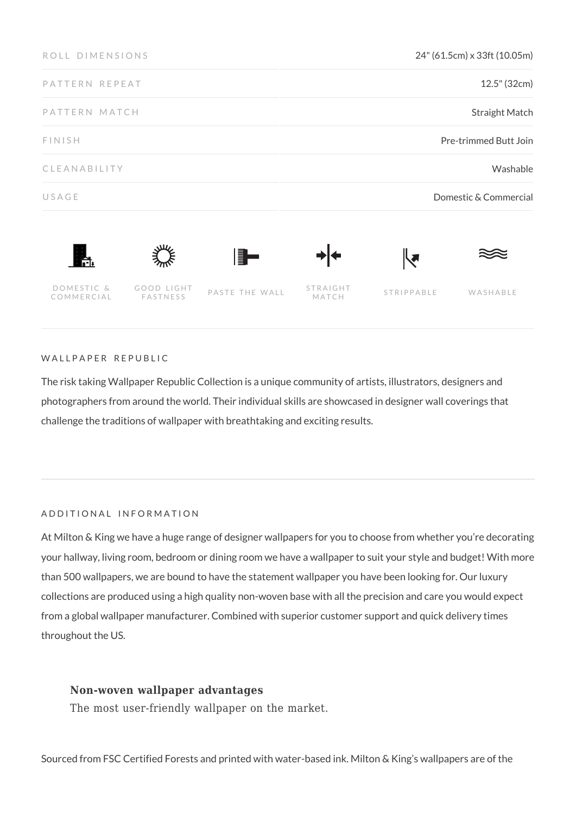| ROLL DIMENSIONS          |                        |                | 24" (61.5cm) x 33ft (10.05m) |                   |          |
|--------------------------|------------------------|----------------|------------------------------|-------------------|----------|
| PATTERN REPEAT           |                        |                | 12.5" (32cm)                 |                   |          |
| PATTERN MATCH            |                        |                | <b>Straight Match</b>        |                   |          |
| <b>FINISH</b>            |                        |                | Pre-trimmed Butt Join        |                   |          |
| CLEANABILITY             |                        |                | Washable                     |                   |          |
| USAGE                    |                        |                | Domestic & Commercial        |                   |          |
| $\mathbf{f}$             |                        | F.             |                              | ℝ                 |          |
| DOMESTIC &<br>COMMERCIAL | GOOD LIGHT<br>FASTNESS | PASTE THE WALL | STRAIGHT<br>MATCH            | <b>STRIPPABLE</b> | WASHABLE |

## WALLPAPER REPUBLIC

The risk taking Wallpaper Republic Collection is a unique community of artists, illustrators, designers and photographers from around the world. Their individual skills are showcased in designer wall coverings that challenge the traditions of wallpaper with breathtaking and exciting results.

## ADDITIONAL INFORMATION

At Milton & King we have a huge range of designer wallpapers for you to choose from whether you're decorating your hallway, living room, bedroom or dining room we have a wallpaper to suit your style and budget! With more than 500 wallpapers, we are bound to have the statement wallpaper you have been looking for. Our luxury collections are produced using a high quality non-woven base with all the precision and care you would expect from a global wallpaper manufacturer. Combined with superior customer support and quick delivery times throughout the US.

# **Non-woven wallpaper advantages**

The most user-friendly wallpaper on the market.